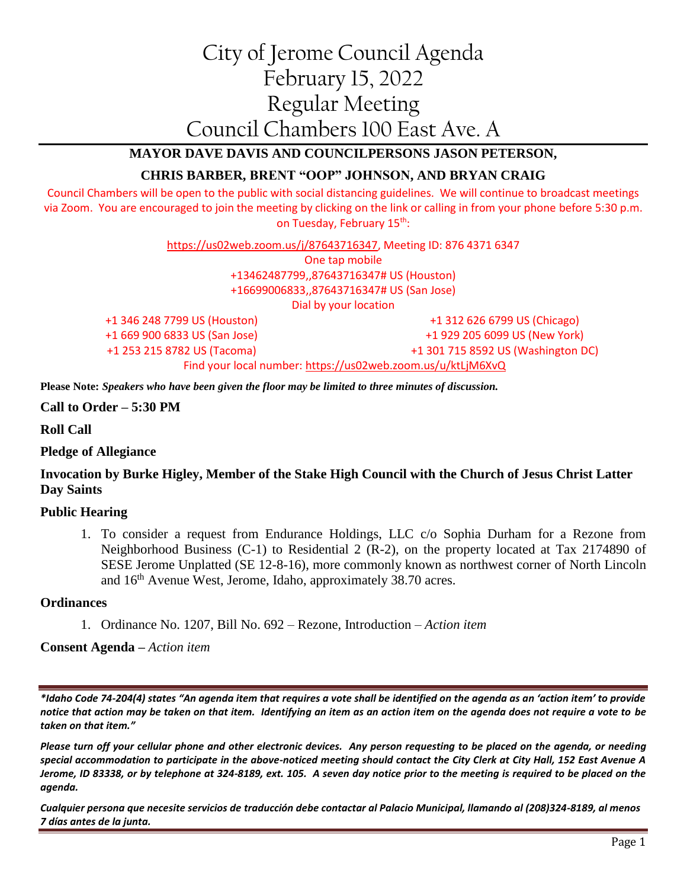# City of Jerome Council Agenda February 15, 2022 Regular Meeting Council Chambers 100 East Ave. A

## **MAYOR DAVE DAVIS AND COUNCILPERSONS JASON PETERSON,**

## **CHRIS BARBER, BRENT "OOP" JOHNSON, AND BRYAN CRAIG**

Council Chambers will be open to the public with social distancing guidelines. We will continue to broadcast meetings via Zoom. You are encouraged to join the meeting by clicking on the link or calling in from your phone before 5:30 p.m. on Tuesday, February 15<sup>th</sup>:

> [https://us02web.zoom.us/j/87643716347,](https://us02web.zoom.us/j/87643716347) Meeting ID: 876 4371 6347 One tap mobile +13462487799,,87643716347# US (Houston) +16699006833,,87643716347# US (San Jose) Dial by your location +1 346 248 7799 US (Houston) +1 669 900 6833 US (San Jose) +1 253 215 8782 US (Tacoma) +1 312 626 6799 US (Chicago) +1 929 205 6099 US (New York) +1 301 715 8592 US (Washington DC) Find your local number:<https://us02web.zoom.us/u/ktLjM6XvQ>

**Please Note:** *Speakers who have been given the floor may be limited to three minutes of discussion.*

**Call to Order – 5:30 PM**

**Roll Call**

**Pledge of Allegiance**

## **Invocation by Burke Higley, Member of the Stake High Council with the Church of Jesus Christ Latter Day Saints**

#### **Public Hearing**

1. To consider a request from Endurance Holdings, LLC c/o Sophia Durham for a Rezone from Neighborhood Business (C-1) to Residential 2 (R-2), on the property located at Tax 2174890 of SESE Jerome Unplatted (SE 12-8-16), more commonly known as northwest corner of North Lincoln and  $16<sup>th</sup>$  Avenue West, Jerome, Idaho, approximately 38.70 acres.

#### **Ordinances**

1. Ordinance No. 1207, Bill No. 692 – Rezone, Introduction – *Action item*

**Consent Agenda –** *Action item*

*\*Idaho Code 74-204(4) states "An agenda item that requires a vote shall be identified on the agenda as an 'action item' to provide notice that action may be taken on that item. Identifying an item as an action item on the agenda does not require a vote to be taken on that item."*

*Please turn off your cellular phone and other electronic devices. Any person requesting to be placed on the agenda, or needing special accommodation to participate in the above-noticed meeting should contact the City Clerk at City Hall, 152 East Avenue A Jerome, ID 83338, or by telephone at 324-8189, ext. 105. A seven day notice prior to the meeting is required to be placed on the agenda.* 

*Cualquier persona que necesite servicios de traducción debe contactar al Palacio Municipal, llamando al (208)324-8189, al menos 7 días antes de la junta.*